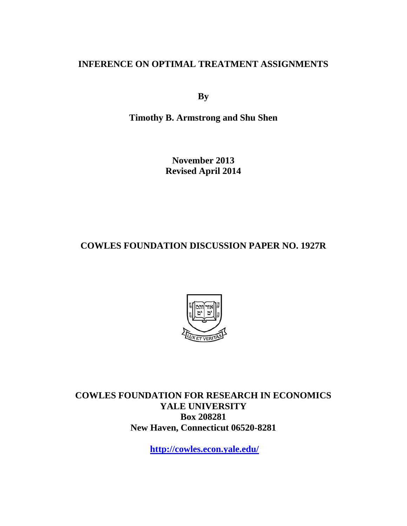# **INFERENCE ON OPTIMAL TREATMENT ASSIGNMENTS**

**By** 

**Timothy B. Armstrong and Shu Shen** 

**November 2013 Revised April 2014** 

**COWLES FOUNDATION DISCUSSION PAPER NO. 1927R** 



**COWLES FOUNDATION FOR RESEARCH IN ECONOMICS YALE UNIVERSITY Box 208281 New Haven, Connecticut 06520-8281** 

**http://cowles.econ.yale.edu/**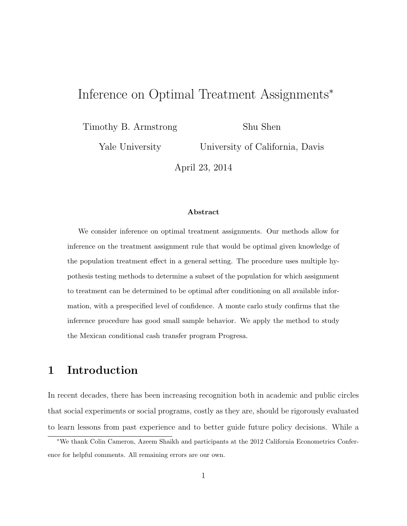# Inference on Optimal Treatment Assignments<sup>∗</sup>

Timothy B. Armstrong

Shu Shen

Yale University

University of California, Davis

April 23, 2014

#### Abstract

We consider inference on optimal treatment assignments. Our methods allow for inference on the treatment assignment rule that would be optimal given knowledge of the population treatment effect in a general setting. The procedure uses multiple hypothesis testing methods to determine a subset of the population for which assignment to treatment can be determined to be optimal after conditioning on all available information, with a prespecified level of confidence. A monte carlo study confirms that the inference procedure has good small sample behavior. We apply the method to study the Mexican conditional cash transfer program Progresa.

# 1 Introduction

In recent decades, there has been increasing recognition both in academic and public circles that social experiments or social programs, costly as they are, should be rigorously evaluated to learn lessons from past experience and to better guide future policy decisions. While a

<sup>∗</sup>We thank Colin Cameron, Azeem Shaikh and participants at the 2012 California Econometrics Conference for helpful comments. All remaining errors are our own.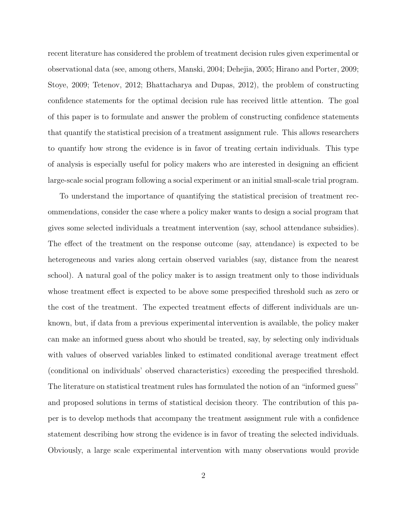recent literature has considered the problem of treatment decision rules given experimental or observational data (see, among others, Manski, 2004; Dehejia, 2005; Hirano and Porter, 2009; Stoye, 2009; Tetenov, 2012; Bhattacharya and Dupas, 2012), the problem of constructing confidence statements for the optimal decision rule has received little attention. The goal of this paper is to formulate and answer the problem of constructing confidence statements that quantify the statistical precision of a treatment assignment rule. This allows researchers to quantify how strong the evidence is in favor of treating certain individuals. This type of analysis is especially useful for policy makers who are interested in designing an efficient large-scale social program following a social experiment or an initial small-scale trial program.

To understand the importance of quantifying the statistical precision of treatment recommendations, consider the case where a policy maker wants to design a social program that gives some selected individuals a treatment intervention (say, school attendance subsidies). The effect of the treatment on the response outcome (say, attendance) is expected to be heterogeneous and varies along certain observed variables (say, distance from the nearest school). A natural goal of the policy maker is to assign treatment only to those individuals whose treatment effect is expected to be above some prespecified threshold such as zero or the cost of the treatment. The expected treatment effects of different individuals are unknown, but, if data from a previous experimental intervention is available, the policy maker can make an informed guess about who should be treated, say, by selecting only individuals with values of observed variables linked to estimated conditional average treatment effect (conditional on individuals' observed characteristics) exceeding the prespecified threshold. The literature on statistical treatment rules has formulated the notion of an "informed guess" and proposed solutions in terms of statistical decision theory. The contribution of this paper is to develop methods that accompany the treatment assignment rule with a confidence statement describing how strong the evidence is in favor of treating the selected individuals. Obviously, a large scale experimental intervention with many observations would provide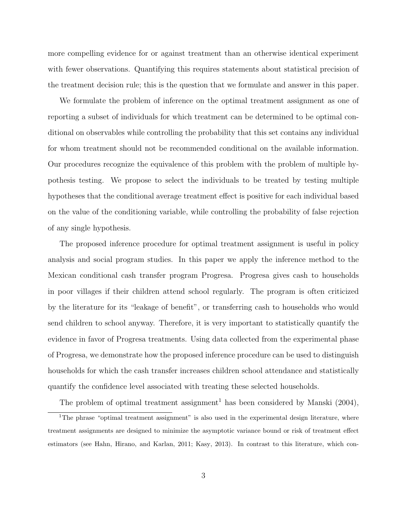more compelling evidence for or against treatment than an otherwise identical experiment with fewer observations. Quantifying this requires statements about statistical precision of the treatment decision rule; this is the question that we formulate and answer in this paper.

We formulate the problem of inference on the optimal treatment assignment as one of reporting a subset of individuals for which treatment can be determined to be optimal conditional on observables while controlling the probability that this set contains any individual for whom treatment should not be recommended conditional on the available information. Our procedures recognize the equivalence of this problem with the problem of multiple hypothesis testing. We propose to select the individuals to be treated by testing multiple hypotheses that the conditional average treatment effect is positive for each individual based on the value of the conditioning variable, while controlling the probability of false rejection of any single hypothesis.

The proposed inference procedure for optimal treatment assignment is useful in policy analysis and social program studies. In this paper we apply the inference method to the Mexican conditional cash transfer program Progresa. Progresa gives cash to households in poor villages if their children attend school regularly. The program is often criticized by the literature for its "leakage of benefit", or transferring cash to households who would send children to school anyway. Therefore, it is very important to statistically quantify the evidence in favor of Progresa treatments. Using data collected from the experimental phase of Progresa, we demonstrate how the proposed inference procedure can be used to distinguish households for which the cash transfer increases children school attendance and statistically quantify the confidence level associated with treating these selected households.

The problem of optimal treatment assignment<sup>1</sup> has been considered by Manski  $(2004)$ ,

<sup>&</sup>lt;sup>1</sup>The phrase "optimal treatment assignment" is also used in the experimental design literature, where treatment assignments are designed to minimize the asymptotic variance bound or risk of treatment effect estimators (see Hahn, Hirano, and Karlan, 2011; Kasy, 2013). In contrast to this literature, which con-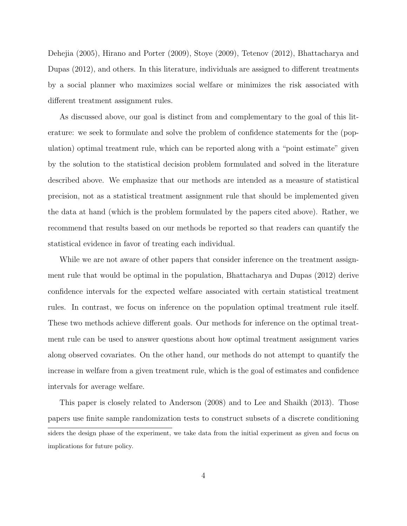Dehejia (2005), Hirano and Porter (2009), Stoye (2009), Tetenov (2012), Bhattacharya and Dupas (2012), and others. In this literature, individuals are assigned to different treatments by a social planner who maximizes social welfare or minimizes the risk associated with different treatment assignment rules.

As discussed above, our goal is distinct from and complementary to the goal of this literature: we seek to formulate and solve the problem of confidence statements for the (population) optimal treatment rule, which can be reported along with a "point estimate" given by the solution to the statistical decision problem formulated and solved in the literature described above. We emphasize that our methods are intended as a measure of statistical precision, not as a statistical treatment assignment rule that should be implemented given the data at hand (which is the problem formulated by the papers cited above). Rather, we recommend that results based on our methods be reported so that readers can quantify the statistical evidence in favor of treating each individual.

While we are not aware of other papers that consider inference on the treatment assignment rule that would be optimal in the population, Bhattacharya and Dupas (2012) derive confidence intervals for the expected welfare associated with certain statistical treatment rules. In contrast, we focus on inference on the population optimal treatment rule itself. These two methods achieve different goals. Our methods for inference on the optimal treatment rule can be used to answer questions about how optimal treatment assignment varies along observed covariates. On the other hand, our methods do not attempt to quantify the increase in welfare from a given treatment rule, which is the goal of estimates and confidence intervals for average welfare.

This paper is closely related to Anderson (2008) and to Lee and Shaikh (2013). Those papers use finite sample randomization tests to construct subsets of a discrete conditioning siders the design phase of the experiment, we take data from the initial experiment as given and focus on implications for future policy.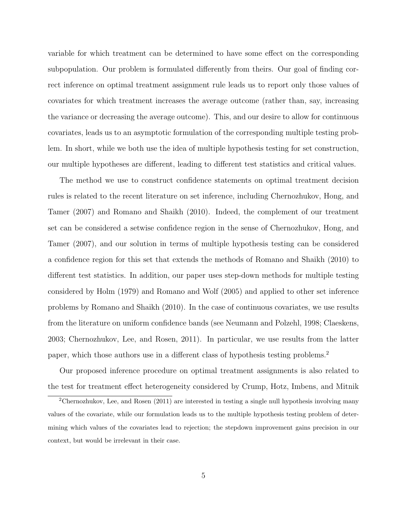variable for which treatment can be determined to have some effect on the corresponding subpopulation. Our problem is formulated differently from theirs. Our goal of finding correct inference on optimal treatment assignment rule leads us to report only those values of covariates for which treatment increases the average outcome (rather than, say, increasing the variance or decreasing the average outcome). This, and our desire to allow for continuous covariates, leads us to an asymptotic formulation of the corresponding multiple testing problem. In short, while we both use the idea of multiple hypothesis testing for set construction, our multiple hypotheses are different, leading to different test statistics and critical values.

The method we use to construct confidence statements on optimal treatment decision rules is related to the recent literature on set inference, including Chernozhukov, Hong, and Tamer (2007) and Romano and Shaikh (2010). Indeed, the complement of our treatment set can be considered a setwise confidence region in the sense of Chernozhukov, Hong, and Tamer (2007), and our solution in terms of multiple hypothesis testing can be considered a confidence region for this set that extends the methods of Romano and Shaikh (2010) to different test statistics. In addition, our paper uses step-down methods for multiple testing considered by Holm (1979) and Romano and Wolf (2005) and applied to other set inference problems by Romano and Shaikh (2010). In the case of continuous covariates, we use results from the literature on uniform confidence bands (see Neumann and Polzehl, 1998; Claeskens, 2003; Chernozhukov, Lee, and Rosen, 2011). In particular, we use results from the latter paper, which those authors use in a different class of hypothesis testing problems.<sup>2</sup>

Our proposed inference procedure on optimal treatment assignments is also related to the test for treatment effect heterogeneity considered by Crump, Hotz, Imbens, and Mitnik

<sup>2</sup>Chernozhukov, Lee, and Rosen (2011) are interested in testing a single null hypothesis involving many values of the covariate, while our formulation leads us to the multiple hypothesis testing problem of determining which values of the covariates lead to rejection; the stepdown improvement gains precision in our context, but would be irrelevant in their case.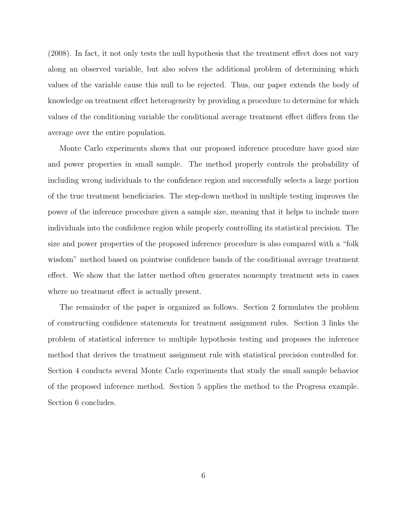(2008). In fact, it not only tests the null hypothesis that the treatment effect does not vary along an observed variable, but also solves the additional problem of determining which values of the variable cause this null to be rejected. Thus, our paper extends the body of knowledge on treatment effect heterogeneity by providing a procedure to determine for which values of the conditioning variable the conditional average treatment effect differs from the average over the entire population.

Monte Carlo experiments shows that our proposed inference procedure have good size and power properties in small sample. The method properly controls the probability of including wrong individuals to the confidence region and successfully selects a large portion of the true treatment beneficiaries. The step-down method in multiple testing improves the power of the inference procedure given a sample size, meaning that it helps to include more individuals into the confidence region while properly controlling its statistical precision. The size and power properties of the proposed inference procedure is also compared with a "folk wisdom" method based on pointwise confidence bands of the conditional average treatment effect. We show that the latter method often generates nonempty treatment sets in cases where no treatment effect is actually present.

The remainder of the paper is organized as follows. Section 2 formulates the problem of constructing confidence statements for treatment assignment rules. Section 3 links the problem of statistical inference to multiple hypothesis testing and proposes the inference method that derives the treatment assignment rule with statistical precision controlled for. Section 4 conducts several Monte Carlo experiments that study the small sample behavior of the proposed inference method. Section 5 applies the method to the Progresa example. Section 6 concludes.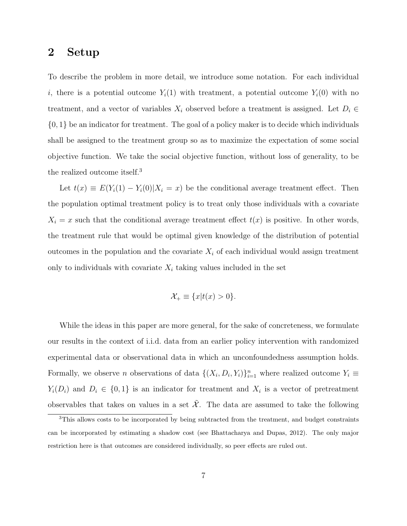### 2 Setup

To describe the problem in more detail, we introduce some notation. For each individual i, there is a potential outcome  $Y_i(1)$  with treatment, a potential outcome  $Y_i(0)$  with no treatment, and a vector of variables  $X_i$  observed before a treatment is assigned. Let  $D_i \in$  $\{0,1\}$  be an indicator for treatment. The goal of a policy maker is to decide which individuals shall be assigned to the treatment group so as to maximize the expectation of some social objective function. We take the social objective function, without loss of generality, to be the realized outcome itself.<sup>3</sup>

Let  $t(x) \equiv E(Y_i(1) - Y_i(0) | X_i = x)$  be the conditional average treatment effect. Then the population optimal treatment policy is to treat only those individuals with a covariate  $X_i = x$  such that the conditional average treatment effect  $t(x)$  is positive. In other words, the treatment rule that would be optimal given knowledge of the distribution of potential outcomes in the population and the covariate  $X_i$  of each individual would assign treatment only to individuals with covariate  $X_i$  taking values included in the set

$$
\mathcal{X}_{+} \equiv \{x|t(x) > 0\}.
$$

While the ideas in this paper are more general, for the sake of concreteness, we formulate our results in the context of i.i.d. data from an earlier policy intervention with randomized experimental data or observational data in which an unconfoundedness assumption holds. Formally, we observe *n* observations of data  $\{(X_i, D_i, Y_i)\}_{i=1}^n$  where realized outcome  $Y_i \equiv$  $Y_i(D_i)$  and  $D_i \in \{0,1\}$  is an indicator for treatment and  $X_i$  is a vector of pretreatment observables that takes on values in a set  $\tilde{\mathcal{X}}$ . The data are assumed to take the following

<sup>&</sup>lt;sup>3</sup>This allows costs to be incorporated by being subtracted from the treatment, and budget constraints can be incorporated by estimating a shadow cost (see Bhattacharya and Dupas, 2012). The only major restriction here is that outcomes are considered individually, so peer effects are ruled out.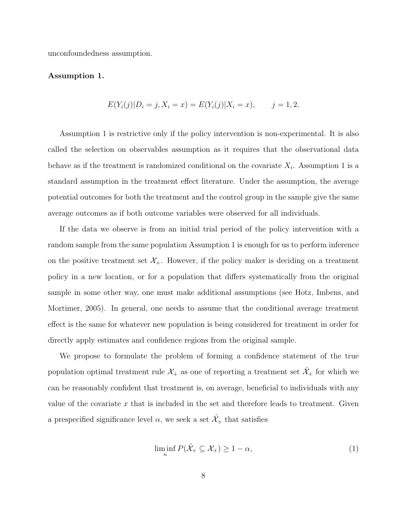unconfoundedness assumption.

#### Assumption 1.

$$
E(Y_i(j)|D_i = j, X_i = x) = E(Y_i(j)|X_i = x), \qquad j = 1, 2.
$$

Assumption 1 is restrictive only if the policy intervention is non-experimental. It is also called the selection on observables assumption as it requires that the observational data behave as if the treatment is randomized conditional on the covariate  $X_i$ . Assumption 1 is a standard assumption in the treatment effect literature. Under the assumption, the average potential outcomes for both the treatment and the control group in the sample give the same average outcomes as if both outcome variables were observed for all individuals.

If the data we observe is from an initial trial period of the policy intervention with a random sample from the same population Assumption 1 is enough for us to perform inference on the positive treatment set  $\mathcal{X}_+$ . However, if the policy maker is deciding on a treatment policy in a new location, or for a population that differs systematically from the original sample in some other way, one must make additional assumptions (see Hotz, Imbens, and Mortimer, 2005). In general, one needs to assume that the conditional average treatment effect is the same for whatever new population is being considered for treatment in order for directly apply estimates and confidence regions from the original sample.

We propose to formulate the problem of forming a confidence statement of the true population optimal treatment rule  $\mathcal{X}_+$  as one of reporting a treatment set  $\mathcal{X}_+$  for which we can be reasonably confident that treatment is, on average, beneficial to individuals with any value of the covariate  $x$  that is included in the set and therefore leads to treatment. Given a prespecified significance level  $\alpha$ , we seek a set  $\hat{\mathcal{X}}_+$  that satisfies

$$
\liminf_{n} P(\hat{\mathcal{X}}_{+} \subseteq \mathcal{X}_{+}) \ge 1 - \alpha,
$$
\n<sup>(1)</sup>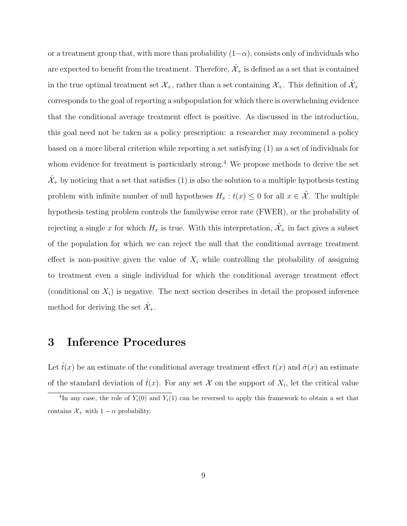or a treatment group that, with more than probability  $(1-\alpha)$ , consists only of individuals who are expected to benefit from the treatment. Therefore,  $\hat{\mathcal{X}}_+$  is defined as a set that is contained in the true optimal treatment set  $\mathcal{X}_+$ , rather than a set containing  $\mathcal{X}_+$ . This definition of  $\mathcal{X}_+$ corresponds to the goal of reporting a subpopulation for which there is overwhelming evidence that the conditional average treatment effect is positive. As discussed in the introduction, this goal need not be taken as a policy prescription: a researcher may recommend a policy based on a more liberal criterion while reporting a set satisfying (1) as a set of individuals for whom evidence for treatment is particularly strong.<sup>4</sup> We propose methods to derive the set  $\hat{\mathcal{X}}_+$  by noticing that a set that satisfies (1) is also the solution to a multiple hypothesis testing problem with infinite number of null hypotheses  $H_x : t(x) \leq 0$  for all  $x \in \tilde{\mathcal{X}}$ . The multiple hypothesis testing problem controls the familywise error rate (FWER), or the probability of rejecting a single x for which  $H_x$  is true. With this interpretation,  $\hat{\mathcal{X}}_+$  in fact gives a subset of the population for which we can reject the null that the conditional average treatment effect is non-positive given the value of  $X_i$  while controlling the probability of assigning to treatment even a single individual for which the conditional average treatment effect (conditional on  $X_i$ ) is negative. The next section describes in detail the proposed inference method for deriving the set  $\hat{\mathcal{X}}_+$ .

# 3 Inference Procedures

Let  $t(x)$  be an estimate of the conditional average treatment effect  $t(x)$  and  $\hat{\sigma}(x)$  an estimate of the standard deviation of  $\hat{t}(x)$ . For any set X on the support of  $X_i$ , let the critical value

<sup>&</sup>lt;sup>4</sup>In any case, the role of  $Y_i(0)$  and  $Y_i(1)$  can be reversed to apply this framework to obtain a set that contains  $\mathcal{X}_+$  with  $1 - \alpha$  probability.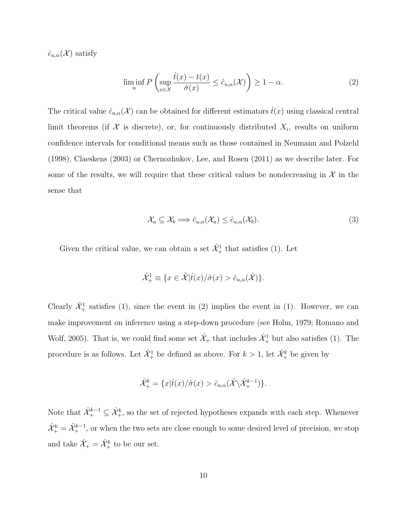$\hat{c}_{u,\alpha}(\mathcal{X})$  satisfy

$$
\liminf_{n} P\left(\sup_{x \in \mathcal{X}} \frac{\hat{t}(x) - t(x)}{\hat{\sigma}(x)} \le \hat{c}_{u,\alpha}(\mathcal{X})\right) \ge 1 - \alpha.
$$
\n(2)

The critical value  $\hat{c}_{u,\alpha}(\mathcal{X})$  can be obtained for different estimators  $\hat{t}(x)$  using classical central limit theorems (if  $\mathcal X$  is discrete), or, for continuously distributed  $X_i$ , results on uniform confidence intervals for conditional means such as those contained in Neumann and Polzehl (1998), Claeskens (2003) or Chernozhukov, Lee, and Rosen (2011) as we describe later. For some of the results, we will require that these critical values be nondecreasing in  $\mathcal{X}$  in the sense that

$$
\mathcal{X}_a \subseteq \mathcal{X}_b \Longrightarrow \hat{c}_{u,\alpha}(\mathcal{X}_a) \le \hat{c}_{u,\alpha}(\mathcal{X}_b). \tag{3}
$$

Given the critical value, we can obtain a set  $\hat{\mathcal{X}}_+^1$  that satisfies (1). Let

$$
\hat{\mathcal{X}}^1_+\equiv \{x\in \tilde{\mathcal{X}}|\hat{t}(x)/\hat{\sigma}(x)>\hat{c}_{u,\alpha}(\tilde{\mathcal{X}})\}.
$$

Clearly  $\hat{\mathcal{X}}_+^1$  satisfies (1), since the event in (2) implies the event in (1). However, we can make improvement on inference using a step-down procedure (see Holm, 1979; Romano and Wolf, 2005). That is, we could find some set  $\hat{\mathcal{X}}_+$  that includes  $\hat{\mathcal{X}}_+^1$  but also satisfies (1). The procedure is as follows. Let  $\hat{\mathcal{X}}_+^1$  be defined as above. For  $k > 1$ , let  $\hat{\mathcal{X}}_+^k$  be given by

$$
\hat{\mathcal{X}}_{+}^{k} = \{x|\hat{t}(x)/\hat{\sigma}(x) > \hat{c}_{u,\alpha}(\tilde{\mathcal{X}} \backslash \hat{\mathcal{X}}_{+}^{k-1})\}.
$$

Note that  $\hat{X}^{k-1}_+ \subseteq \hat{X}^k_+$ , so the set of rejected hypotheses expands with each step. Whenever  $\hat{\mathcal{X}}_+^k = \hat{\mathcal{X}}_+^{k-1}$ , or when the two sets are close enough to some desired level of precision, we stop and take  $\hat{\mathcal{X}}_+ = \hat{\mathcal{X}}_+^k$  to be our set.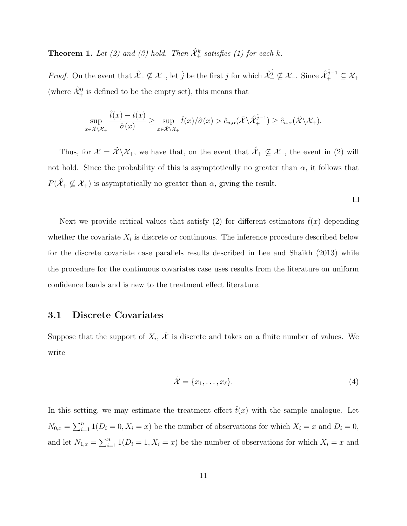**Theorem 1.** Let (2) and (3) hold. Then  $\hat{\mathcal{X}}^k_+$  satisfies (1) for each k.

*Proof.* On the event that  $\hat{\mathcal{X}}_+ \not\subseteq \mathcal{X}_+$ , let  $\hat{j}$  be the first j for which  $\hat{\mathcal{X}}_+^{\hat{j}} \not\subseteq \mathcal{X}_+$ . Since  $\hat{\mathcal{X}}_+^{\hat{j}-1} \subseteq \mathcal{X}_+$ (where  $\hat{\mathcal{X}}_{+}^{0}$  is defined to be the empty set), this means that

$$
\sup_{x \in \tilde{\mathcal{X}} \backslash \mathcal{X}_{+}} \frac{\hat{t}(x) - t(x)}{\hat{\sigma}(x)} \ge \sup_{x \in \tilde{\mathcal{X}} \backslash \mathcal{X}_{+}} \hat{t}(x) / \hat{\sigma}(x) > \hat{c}_{u,\alpha}(\tilde{\mathcal{X}} \backslash \hat{\mathcal{X}}_{+}^{\hat{j}-1}) \ge \hat{c}_{u,\alpha}(\tilde{\mathcal{X}} \backslash \mathcal{X}_{+}).
$$

Thus, for  $\mathcal{X} = \tilde{\mathcal{X}} \backslash \mathcal{X}_+$ , we have that, on the event that  $\hat{\mathcal{X}}_+ \nsubseteq \mathcal{X}_+$ , the event in (2) will not hold. Since the probability of this is asymptotically no greater than  $\alpha$ , it follows that  $P(\hat{\mathcal{X}}_+\not\subseteq \mathcal{X}_+)$  is asymptotically no greater than  $\alpha$ , giving the result.

 $\Box$ 

Next we provide critical values that satisfy (2) for different estimators  $\hat{t}(x)$  depending whether the covariate  $X_i$  is discrete or continuous. The inference procedure described below for the discrete covariate case parallels results described in Lee and Shaikh (2013) while the procedure for the continuous covariates case uses results from the literature on uniform confidence bands and is new to the treatment effect literature.

#### 3.1 Discrete Covariates

Suppose that the support of  $X_i$ ,  $\tilde{\mathcal{X}}$  is discrete and takes on a finite number of values. We write

$$
\tilde{\mathcal{X}} = \{x_1, \dots, x_\ell\}.
$$
\n<sup>(4)</sup>

In this setting, we may estimate the treatment effect  $\hat{t}(x)$  with the sample analogue. Let  $N_{0,x} = \sum_{i=1}^n 1(D_i = 0, X_i = x)$  be the number of observations for which  $X_i = x$  and  $D_i = 0$ , and let  $N_{1,x} = \sum_{i=1}^n 1(D_i = 1, X_i = x)$  be the number of observations for which  $X_i = x$  and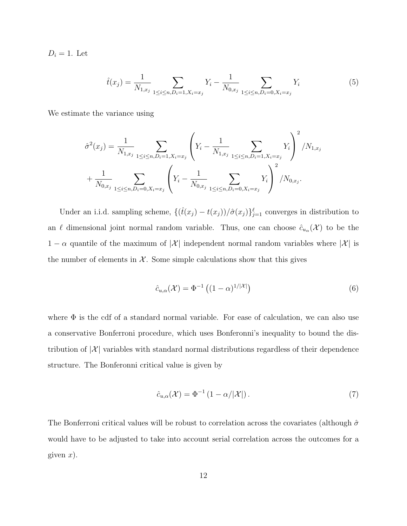$D_i = 1$ . Let

$$
\hat{t}(x_j) = \frac{1}{N_{1,x_j}} \sum_{1 \le i \le n, D_i = 1, X_i = x_j} Y_i - \frac{1}{N_{0,x_j}} \sum_{1 \le i \le n, D_i = 0, X_i = x_j} Y_i
$$
\n
$$
(5)
$$

We estimate the variance using

$$
\hat{\sigma}^{2}(x_{j}) = \frac{1}{N_{1,x_{j}}} \sum_{1 \leq i \leq n, D_{i}=1, X_{i}=x_{j}} \left(Y_{i} - \frac{1}{N_{1,x_{j}}} \sum_{1 \leq i \leq n, D_{i}=1, X_{i}=x_{j}} Y_{i}\right)^{2} / N_{1,x_{j}}
$$

$$
+ \frac{1}{N_{0,x_{j}}} \sum_{1 \leq i \leq n, D_{i}=0, X_{i}=x_{j}} \left(Y_{i} - \frac{1}{N_{0,x_{j}}} \sum_{1 \leq i \leq n, D_{i}=0, X_{i}=x_{j}} Y_{i}\right)^{2} / N_{0,x_{j}}.
$$

Under an i.i.d. sampling scheme,  $\{(\hat{t}(x_j) - t(x_j))/\hat{\sigma}(x_j)\}_{j=1}^{\ell}$  converges in distribution to an  $\ell$  dimensional joint normal random variable. Thus, one can choose  $\hat{c}_{u_\alpha}(\mathcal{X})$  to be the  $1 - \alpha$  quantile of the maximum of  $|\mathcal{X}|$  independent normal random variables where  $|\mathcal{X}|$  is the number of elements in  $\mathcal{X}$ . Some simple calculations show that this gives

$$
\hat{c}_{u,\alpha}(\mathcal{X}) = \Phi^{-1}\left( (1-\alpha)^{1/|\mathcal{X}|} \right) \tag{6}
$$

where  $\Phi$  is the cdf of a standard normal variable. For ease of calculation, we can also use a conservative Bonferroni procedure, which uses Bonferonni's inequality to bound the distribution of  $|\mathcal{X}|$  variables with standard normal distributions regardless of their dependence structure. The Bonferonni critical value is given by

$$
\hat{c}_{u,\alpha}(\mathcal{X}) = \Phi^{-1} \left( 1 - \alpha / |\mathcal{X}| \right). \tag{7}
$$

The Bonferroni critical values will be robust to correlation across the covariates (although  $\hat{\sigma}$ would have to be adjusted to take into account serial correlation across the outcomes for a given  $x$ ).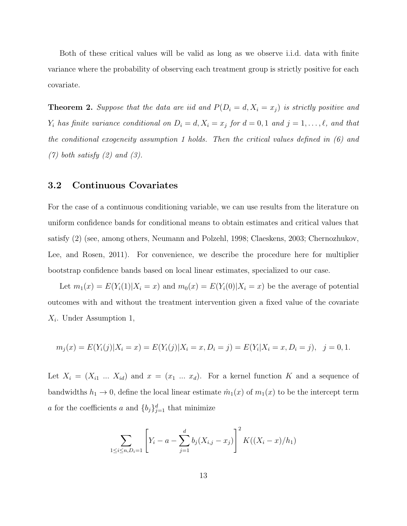Both of these critical values will be valid as long as we observe i.i.d. data with finite variance where the probability of observing each treatment group is strictly positive for each covariate.

**Theorem 2.** Suppose that the data are iid and  $P(D_i = d, X_i = x_j)$  is strictly positive and  $Y_i$  has finite variance conditional on  $D_i = d, X_i = x_j$  for  $d = 0, 1$  and  $j = 1, ..., \ell$ , and that the conditional exogeneity assumption 1 holds. Then the critical values defined in  $(6)$  and  $(7)$  both satisfy  $(2)$  and  $(3)$ .

#### 3.2 Continuous Covariates

For the case of a continuous conditioning variable, we can use results from the literature on uniform confidence bands for conditional means to obtain estimates and critical values that satisfy (2) (see, among others, Neumann and Polzehl, 1998; Claeskens, 2003; Chernozhukov, Lee, and Rosen, 2011). For convenience, we describe the procedure here for multiplier bootstrap confidence bands based on local linear estimates, specialized to our case.

Let  $m_1(x) = E(Y_i(1)|X_i = x)$  and  $m_0(x) = E(Y_i(0)|X_i = x)$  be the average of potential outcomes with and without the treatment intervention given a fixed value of the covariate  $X_i$ . Under Assumption 1,

$$
m_j(x) = E(Y_i(j)|X_i = x) = E(Y_i(j)|X_i = x, D_i = j) = E(Y_i|X_i = x, D_i = j), \quad j = 0, 1.
$$

Let  $X_i = (X_{i1} \dots X_{id})$  and  $x = (x_1 \dots x_d)$ . For a kernel function K and a sequence of bandwidths  $h_1 \to 0$ , define the local linear estimate  $\hat{m}_1(x)$  of  $m_1(x)$  to be the intercept term a for the coefficients a and  ${b_j}_{j=1}^d$  that minimize

$$
\sum_{1 \le i \le n, D_i = 1} \left[ Y_i - a - \sum_{j=1}^d b_j (X_{i,j} - x_j) \right]^2 K((X_i - x)/h_1)
$$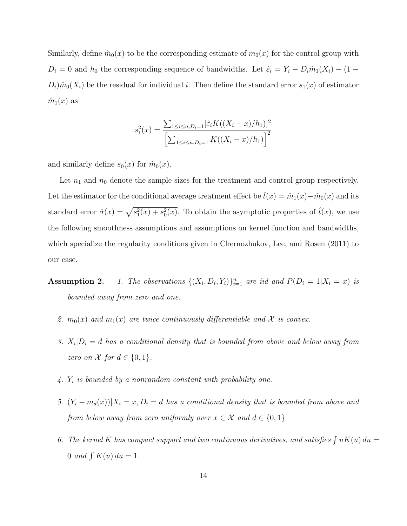Similarly, define  $\hat{m}_0(x)$  to be the corresponding estimate of  $m_0(x)$  for the control group with  $D_i = 0$  and  $h_0$  the corresponding sequence of bandwidths. Let  $\hat{\varepsilon}_i = Y_i - D_i \hat{m}_1(X_i) - (1 D_i$ ) $\hat{m}_0(X_i)$  be the residual for individual i. Then define the standard error  $s_1(x)$  of estimator  $\hat{m}_1(x)$  as

$$
s_1^2(x) = \frac{\sum_{1 \le i \le n, D_i=1} [\hat{\varepsilon}_i K((X_i - x)/h_1)]^2}{\left[\sum_{1 \le i \le n, D_i=1} K((X_i - x)/h_1)\right]^2}
$$

and similarly define  $s_0(x)$  for  $\hat{m}_0(x)$ .

Let  $n_1$  and  $n_0$  denote the sample sizes for the treatment and control group respectively. Let the estimator for the conditional average treatment effect be  $\hat{t}(x) = \hat{m}_1(x) - \hat{m}_0(x)$  and its standard error  $\hat{\sigma}(x) = \sqrt{s_1^2(x) + s_0^2(x)}$ . To obtain the asymptotic properties of  $\hat{t}(x)$ , we use the following smoothness assumptions and assumptions on kernel function and bandwidths, which specialize the regularity conditions given in Chernozhukov, Lee, and Rosen (2011) to our case.

**Assumption 2.** 1. The observations  $\{(X_i, D_i, Y_i)\}_{i=1}^n$  are iid and  $P(D_i = 1 | X_i = x)$  is bounded away from zero and one.

- 2.  $m_0(x)$  and  $m_1(x)$  are twice continuously differentiable and X is convex.
- 3.  $X_i|D_i = d$  has a conditional density that is bounded from above and below away from zero on  $\mathcal X$  for  $d \in \{0,1\}$ .
- $4. Y<sub>i</sub>$  is bounded by a nonrandom constant with probability one.
- 5.  $(Y_i m_d(x))|X_i = x, D_i = d$  has a conditional density that is bounded from above and from below away from zero uniformly over  $x \in \mathcal{X}$  and  $d \in \{0,1\}$
- 6. The kernel K has compact support and two continuous derivatives, and satisfies  $\int uK(u) du =$ 0 and  $\int K(u) du = 1$ .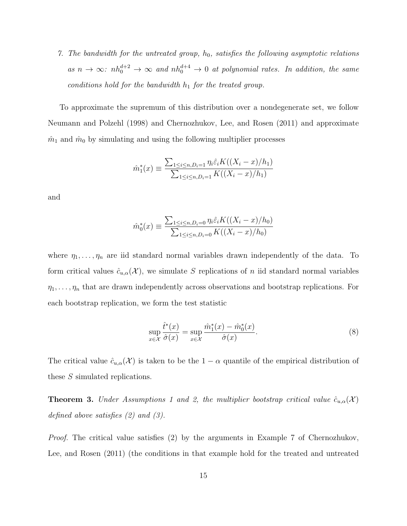7. The bandwidth for the untreated group,  $h_0$ , satisfies the following asymptotic relations as  $n \to \infty$ :  $nh_0^{d+2} \to \infty$  and  $nh_0^{d+4} \to 0$  at polynomial rates. In addition, the same conditions hold for the bandwidth  $h_1$  for the treated group.

To approximate the supremum of this distribution over a nondegenerate set, we follow Neumann and Polzehl (1998) and Chernozhukov, Lee, and Rosen (2011) and approximate  $\hat{m}_1$  and  $\hat{m}_0$  by simulating and using the following multiplier processes

$$
\hat{m}_1^*(x) \equiv \frac{\sum_{1 \le i \le n, D_i = 1} \eta_i \hat{\varepsilon}_i K((X_i - x)/h_1)}{\sum_{1 \le i \le n, D_i = 1} K((X_i - x)/h_1)}
$$

and

$$
\hat{m}_0^*(x) \equiv \frac{\sum_{1 \le i \le n, D_i = 0} \eta_i \hat{\varepsilon}_i K((X_i - x)/h_0)}{\sum_{1 \le i \le n, D_i = 0} K((X_i - x)/h_0)}
$$

where  $\eta_1, \ldots, \eta_n$  are iid standard normal variables drawn independently of the data. To form critical values  $\hat{c}_{u,\alpha}(\mathcal{X})$ , we simulate S replications of n iid standard normal variables  $\eta_1, \ldots, \eta_n$  that are drawn independently across observations and bootstrap replications. For each bootstrap replication, we form the test statistic

$$
\sup_{x \in \mathcal{X}} \frac{\hat{t}^*(x)}{\hat{\sigma}(x)} = \sup_{x \in \mathcal{X}} \frac{\hat{m}_1^*(x) - \hat{m}_0^*(x)}{\hat{\sigma}(x)}.
$$
\n(8)

The critical value  $\hat{c}_{u,\alpha}(\mathcal{X})$  is taken to be the  $1-\alpha$  quantile of the empirical distribution of these S simulated replications.

**Theorem 3.** Under Assumptions 1 and 2, the multiplier bootstrap critical value  $\hat{c}_{u,\alpha}(\mathcal{X})$ defined above satisfies (2) and (3).

Proof. The critical value satisfies (2) by the arguments in Example 7 of Chernozhukov, Lee, and Rosen (2011) (the conditions in that example hold for the treated and untreated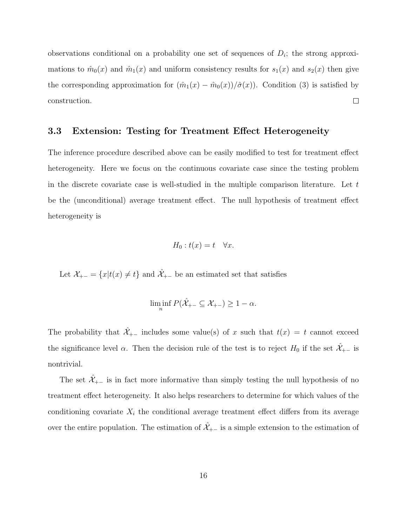observations conditional on a probability one set of sequences of  $D_i$ ; the strong approximations to  $\hat{m}_0(x)$  and  $\hat{m}_1(x)$  and uniform consistency results for  $s_1(x)$  and  $s_2(x)$  then give the corresponding approximation for  $(\hat{m}_1(x) - \hat{m}_0(x))/\hat{\sigma}(x)$ . Condition (3) is satisfied by construction.  $\Box$ 

#### 3.3 Extension: Testing for Treatment Effect Heterogeneity

The inference procedure described above can be easily modified to test for treatment effect heterogeneity. Here we focus on the continuous covariate case since the testing problem in the discrete covariate case is well-studied in the multiple comparison literature. Let  $t$ be the (unconditional) average treatment effect. The null hypothesis of treatment effect heterogeneity is

$$
H_0: t(x) = t \quad \forall x.
$$

Let  $\mathcal{X}_{+-} = \{x|t(x) \neq t\}$  and  $\hat{\mathcal{X}}_{+-}$  be an estimated set that satisfies

$$
\liminf_{n} P(\hat{X}_{+-} \subseteq X_{+-}) \ge 1 - \alpha.
$$

The probability that  $\mathcal{X}_{+-}$  includes some value(s) of x such that  $t(x) = t$  cannot exceed the significance level  $\alpha$ . Then the decision rule of the test is to reject  $H_0$  if the set  $\mathcal{X}_{+-}$  is nontrivial.

The set  $\hat{\mathcal{X}}_{+-}$  is in fact more informative than simply testing the null hypothesis of no treatment effect heterogeneity. It also helps researchers to determine for which values of the conditioning covariate  $X_i$  the conditional average treatment effect differs from its average over the entire population. The estimation of  $\hat{\mathcal{X}}_{+-}$  is a simple extension to the estimation of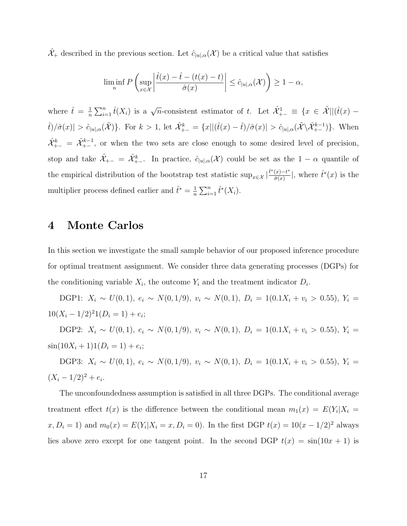$\hat{\mathcal{X}}_+$  described in the previous section. Let  $\hat{c}_{|u|,\alpha}(\mathcal{X})$  be a critical value that satisfies

$$
\liminf_{n} P\left(\sup_{x\in\mathcal{X}} \left| \frac{\hat{t}(x) - \hat{t} - (t(x) - t)}{\hat{\sigma}(x)} \right| \le \hat{c}_{|u|,\alpha}(\mathcal{X})\right) \ge 1 - \alpha,
$$

where  $\hat{t} = \frac{1}{n}$  $\frac{1}{n}\sum_{i=1}^n \hat{t}(X_i)$  is a  $\sqrt{n}$ -consistent estimator of t. Let  $\hat{\mathcal{X}}_{+-}^1 \equiv \{x \in \tilde{\mathcal{X}} \mid |(\hat{t}(x) - \hat{t}(x))| \leq \epsilon \}$  $\hat{t}/\hat{\sigma}(x)| > \hat{c}_{|u|,\alpha}(\tilde{\mathcal{X}})\}.$  For  $k > 1$ , let  $\hat{\mathcal{X}}_{+-}^k = \{x \mid |(\hat{t}(x) - \hat{t})/\hat{\sigma}(x)| > \hat{c}_{|u|,\alpha}(\tilde{\mathcal{X}} \setminus \hat{\mathcal{X}}_{+-}^{k-1})\}.$  When  $\hat{\mathcal{X}}_{+-}^k = \hat{\mathcal{X}}_{+-}^{k-1}$ , or when the two sets are close enough to some desired level of precision, stop and take  $\hat{\mathcal{X}}_{+-} = \hat{\mathcal{X}}_{+-}^k$ . In practice,  $\hat{c}_{|u|,\alpha}(\mathcal{X})$  could be set as the  $1-\alpha$  quantile of the empirical distribution of the bootstrap test statistic sup<sub>x∈X</sub>  $|\frac{\hat{t}^*(x)-t^*}{\hat{\sigma}(x)}|$  $\frac{(x)-t^*}{\hat{\sigma}(x)}$ , where  $\hat{t}^*(x)$  is the multiplier process defined earlier and  $\hat{t}^* = \frac{1}{n}$  $\frac{1}{n} \sum_{i=1}^{n} \hat{t}^*(X_i).$ 

# 4 Monte Carlos

In this section we investigate the small sample behavior of our proposed inference procedure for optimal treatment assignment. We consider three data generating processes (DGPs) for the conditioning variable  $X_i$ , the outcome  $Y_i$  and the treatment indicator  $D_i$ .

DGP1:  $X_i \sim U(0, 1)$ ,  $e_i \sim N(0, 1/9)$ ,  $v_i \sim N(0, 1)$ ,  $D_i = 1(0.1X_i + v_i > 0.55)$ ,  $Y_i =$  $10(X_i - 1/2)^2 1(D_i = 1) + e_i;$ 

DGP2:  $X_i \sim U(0, 1)$ ,  $e_i \sim N(0, 1/9)$ ,  $v_i \sim N(0, 1)$ ,  $D_i = 1(0.1X_i + v_i > 0.55)$ ,  $Y_i =$  $\sin(10X_i + 1)1(D_i = 1) + e_i;$ 

DGP3:  $X_i \sim U(0, 1)$ ,  $e_i \sim N(0, 1/9)$ ,  $v_i \sim N(0, 1)$ ,  $D_i = 1(0.1X_i + v_i > 0.55)$ ,  $Y_i =$  $(X_i - 1/2)^2 + e_i.$ 

The unconfoundedness assumption is satisfied in all three DGPs. The conditional average treatment effect  $t(x)$  is the difference between the conditional mean  $m_1(x) = E(Y_i | X_i =$  $x, D_i = 1$  and  $m_0(x) = E(Y_i | X_i = x, D_i = 0)$ . In the first DGP  $t(x) = 10(x - 1/2)^2$  always lies above zero except for one tangent point. In the second DGP  $t(x) = \sin(10x + 1)$  is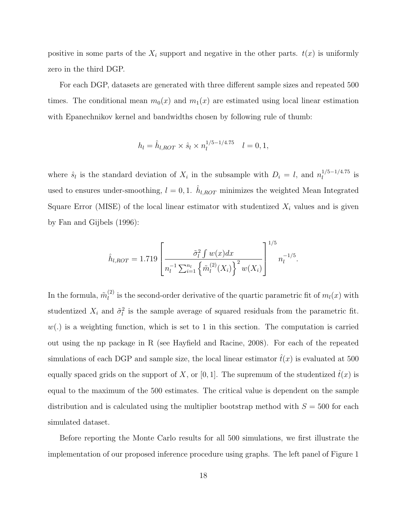positive in some parts of the  $X_i$  support and negative in the other parts.  $t(x)$  is uniformly zero in the third DGP.

For each DGP, datasets are generated with three different sample sizes and repeated 500 times. The conditional mean  $m_0(x)$  and  $m_1(x)$  are estimated using local linear estimation with Epanechnikov kernel and bandwidths chosen by following rule of thumb:

$$
h_l = \hat{h}_{l,ROT} \times \hat{s}_l \times n_l^{1/5 - 1/4.75} \quad l = 0, 1,
$$

where  $\hat{s}_l$  is the standard deviation of  $X_i$  in the subsample with  $D_i = l$ , and  $n_l^{1/5-1/4.75}$  $\frac{1}{l}$ <sup>1/3-1/4.13</sup> is used to ensures under-smoothing,  $l = 0, 1$ .  $\hat{h}_{l,ROT}$  minimizes the weighted Mean Integrated Square Error (MISE) of the local linear estimator with studentized  $X_i$  values and is given by Fan and Gijbels (1996):

$$
\hat{h}_{l,ROT} = 1.719 \left[ \frac{\tilde{\sigma}_l^2 \int w(x) dx}{n_l^{-1} \sum_{i=1}^{n_l} \left\{ \tilde{m}_l^{(2)}(X_i) \right\}^2 w(X_i)} \right]^{1/5} n_l^{-1/5}.
$$

In the formula,  $\tilde{m}_l^{(2)}$  $\ell_l^{(2)}$  is the second-order derivative of the quartic parametric fit of  $m_l(x)$  with studentized  $X_i$  and  $\tilde{\sigma}_i^2$  is the sample average of squared residuals from the parametric fit.  $w(.)$  is a weighting function, which is set to 1 in this section. The computation is carried out using the np package in R (see Hayfield and Racine, 2008). For each of the repeated simulations of each DGP and sample size, the local linear estimator  $\hat{t}(x)$  is evaluated at 500 equally spaced grids on the support of X, or [0, 1]. The supremum of the studentized  $t(x)$  is equal to the maximum of the 500 estimates. The critical value is dependent on the sample distribution and is calculated using the multiplier bootstrap method with  $S = 500$  for each simulated dataset.

Before reporting the Monte Carlo results for all 500 simulations, we first illustrate the implementation of our proposed inference procedure using graphs. The left panel of Figure 1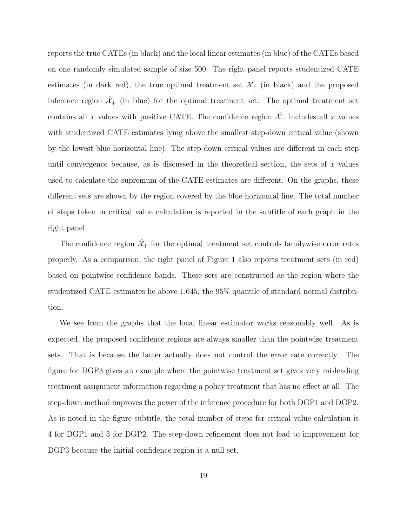reports the true CATEs (in black) and the local linear estimates (in blue) of the CATEs based on one randomly simulated sample of size 500. The right panel reports studentized CATE estimates (in dark red), the true optimal treatment set  $\mathcal{X}_+$  (in black) and the proposed inference region  $\mathcal{X}_+$  (in blue) for the optimal treatment set. The optimal treatment set contains all x values with positive CATE. The confidence region  $\mathcal{X}_+$  includes all x values with studentized CATE estimates lying above the smallest step-down critical value (shown by the lowest blue horizontal line). The step-down critical values are different in each step until convergence because, as is discussed in the theoretical section, the sets of x values used to calculate the supremum of the CATE estimates are different. On the graphs, these different sets are shown by the region covered by the blue horizontal line. The total number of steps taken in critical value calculation is reported in the subtitle of each graph in the right panel.

The confidence region  $\hat{\mathcal{X}}_+$  for the optimal treatment set controls familywise error rates properly. As a comparison, the right panel of Figure 1 also reports treatment sets (in red) based on pointwise confidence bands. These sets are constructed as the region where the studentized CATE estimates lie above 1.645, the 95% quantile of standard normal distribution.

We see from the graphs that the local linear estimator works reasonably well. As is expected, the proposed confidence regions are always smaller than the pointwise treatment sets. That is because the latter actually does not control the error rate correctly. The figure for DGP3 gives an example where the pointwise treatment set gives very misleading treatment assignment information regarding a policy treatment that has no effect at all. The step-down method improves the power of the inference procedure for both DGP1 and DGP2. As is noted in the figure subtitle, the total number of steps for critical value calculation is 4 for DGP1 and 3 for DGP2. The step-down refinement does not lead to improvement for DGP3 because the initial confidence region is a null set.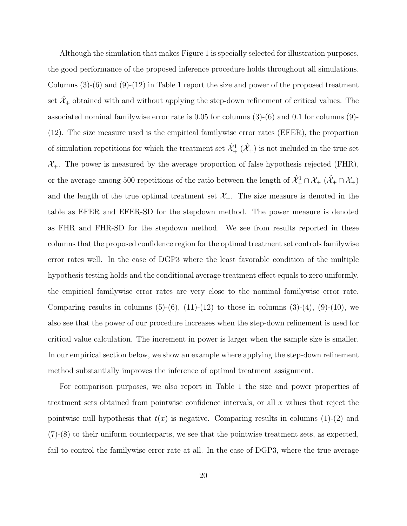Although the simulation that makes Figure 1 is specially selected for illustration purposes, the good performance of the proposed inference procedure holds throughout all simulations. Columns  $(3)-(6)$  and  $(9)-(12)$  in Table 1 report the size and power of the proposed treatment set  $\mathcal{X}_+$  obtained with and without applying the step-down refinement of critical values. The associated nominal familywise error rate is 0.05 for columns (3)-(6) and 0.1 for columns (9)- (12). The size measure used is the empirical familywise error rates (EFER), the proportion of simulation repetitions for which the treatment set  $\hat{\mathcal{X}}^1_+$   $(\hat{\mathcal{X}}_+)$  is not included in the true set  $\mathcal{X}_{+}$ . The power is measured by the average proportion of false hypothesis rejected (FHR), or the average among 500 repetitions of the ratio between the length of  $\hat{X}_+^1 \cap X_+$   $(\hat{X}_+ \cap X_+)$ and the length of the true optimal treatment set  $\mathcal{X}_+$ . The size measure is denoted in the table as EFER and EFER-SD for the stepdown method. The power measure is denoted as FHR and FHR-SD for the stepdown method. We see from results reported in these columns that the proposed confidence region for the optimal treatment set controls familywise error rates well. In the case of DGP3 where the least favorable condition of the multiple hypothesis testing holds and the conditional average treatment effect equals to zero uniformly, the empirical familywise error rates are very close to the nominal familywise error rate. Comparing results in columns  $(5)-(6)$ ,  $(11)-(12)$  to those in columns  $(3)-(4)$ ,  $(9)-(10)$ , we also see that the power of our procedure increases when the step-down refinement is used for critical value calculation. The increment in power is larger when the sample size is smaller. In our empirical section below, we show an example where applying the step-down refinement method substantially improves the inference of optimal treatment assignment.

For comparison purposes, we also report in Table 1 the size and power properties of treatment sets obtained from pointwise confidence intervals, or all  $x$  values that reject the pointwise null hypothesis that  $t(x)$  is negative. Comparing results in columns (1)-(2) and (7)-(8) to their uniform counterparts, we see that the pointwise treatment sets, as expected, fail to control the familywise error rate at all. In the case of DGP3, where the true average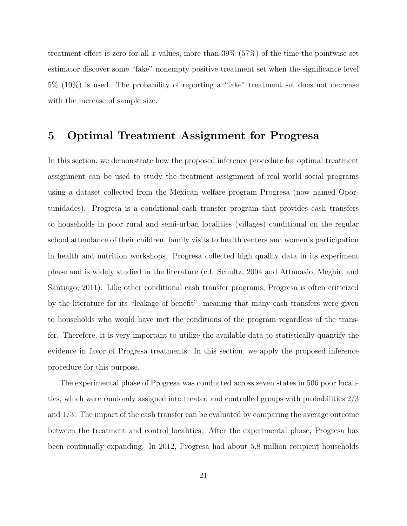treatment effect is zero for all x values, more than 39% (57%) of the time the pointwise set estimator discover some "fake" nonempty positive treatment set when the significance level 5% (10%) is used. The probability of reporting a "fake" treatment set does not decrease with the increase of sample size.

### 5 Optimal Treatment Assignment for Progresa

In this section, we demonstrate how the proposed inference procedure for optimal treatment assignment can be used to study the treatment assignment of real world social programs using a dataset collected from the Mexican welfare program Progresa (now named Oportunidades). Progresa is a conditional cash transfer program that provides cash transfers to households in poor rural and semi-urban localities (villages) conditional on the regular school attendance of their children, family visits to health centers and women's participation in health and nutrition workshops. Progresa collected high quality data in its experiment phase and is widely studied in the literature (c.f. Schultz, 2004 and Attanasio, Meghir, and Santiago, 2011). Like other conditional cash transfer programs, Progresa is often criticized by the literature for its "leakage of benefit", meaning that many cash transfers were given to households who would have met the conditions of the program regardless of the transfer. Therefore, it is very important to utilize the available data to statistically quantify the evidence in favor of Progresa treatments. In this section, we apply the proposed inference procedure for this purpose.

The experimental phase of Progresa was conducted across seven states in 506 poor localities, which were randomly assigned into treated and controlled groups with probabilities 2/3 and 1/3. The impact of the cash transfer can be evaluated by comparing the average outcome between the treatment and control localities. After the experimental phase, Progresa has been continually expanding. In 2012, Progresa had about 5.8 million recipient households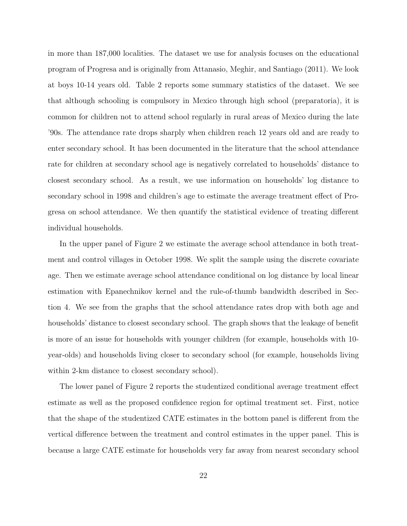in more than 187,000 localities. The dataset we use for analysis focuses on the educational program of Progresa and is originally from Attanasio, Meghir, and Santiago (2011). We look at boys 10-14 years old. Table 2 reports some summary statistics of the dataset. We see that although schooling is compulsory in Mexico through high school (preparatoria), it is common for children not to attend school regularly in rural areas of Mexico during the late '90s. The attendance rate drops sharply when children reach 12 years old and are ready to enter secondary school. It has been documented in the literature that the school attendance rate for children at secondary school age is negatively correlated to households' distance to closest secondary school. As a result, we use information on households' log distance to secondary school in 1998 and children's age to estimate the average treatment effect of Progresa on school attendance. We then quantify the statistical evidence of treating different individual households.

In the upper panel of Figure 2 we estimate the average school attendance in both treatment and control villages in October 1998. We split the sample using the discrete covariate age. Then we estimate average school attendance conditional on log distance by local linear estimation with Epanechnikov kernel and the rule-of-thumb bandwidth described in Section 4. We see from the graphs that the school attendance rates drop with both age and households' distance to closest secondary school. The graph shows that the leakage of benefit is more of an issue for households with younger children (for example, households with 10 year-olds) and households living closer to secondary school (for example, households living within 2-km distance to closest secondary school).

The lower panel of Figure 2 reports the studentized conditional average treatment effect estimate as well as the proposed confidence region for optimal treatment set. First, notice that the shape of the studentized CATE estimates in the bottom panel is different from the vertical difference between the treatment and control estimates in the upper panel. This is because a large CATE estimate for households very far away from nearest secondary school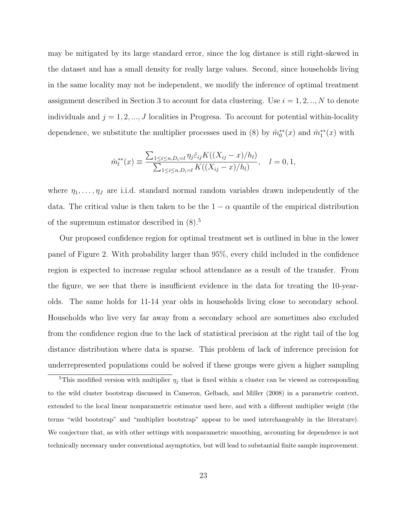may be mitigated by its large standard error, since the log distance is still right-skewed in the dataset and has a small density for really large values. Second, since households living in the same locality may not be independent, we modify the inference of optimal treatment assignment described in Section 3 to account for data clustering. Use  $i = 1, 2, ..., N$  to denote individuals and  $j = 1, 2, ..., J$  localities in Progresa. To account for potential within-locality dependence, we substitute the multiplier processes used in (8) by  $\hat{m}_0^{**}(x)$  and  $\hat{m}_1^{**}(x)$  with

$$
\hat{m}_l^{**}(x) \equiv \frac{\sum_{1 \le i \le n, D_i = l} \eta_j \hat{\varepsilon}_{ij} K((X_{ij} - x)/h_l)}{\sum_{1 \le i \le n, D_i = l} K((X_{ij} - x)/h_l)}, \quad l = 0, 1,
$$

where  $\eta_1, \ldots, \eta_J$  are i.i.d. standard normal random variables drawn independently of the data. The critical value is then taken to be the  $1 - \alpha$  quantile of the empirical distribution of the supremum estimator described in (8).<sup>5</sup>

Our proposed confidence region for optimal treatment set is outlined in blue in the lower panel of Figure 2. With probability larger than 95%, every child included in the confidence region is expected to increase regular school attendance as a result of the transfer. From the figure, we see that there is insufficient evidence in the data for treating the 10-yearolds. The same holds for 11-14 year olds in households living close to secondary school. Households who live very far away from a secondary school are sometimes also excluded from the confidence region due to the lack of statistical precision at the right tail of the log distance distribution where data is sparse. This problem of lack of inference precision for underrepresented populations could be solved if these groups were given a higher sampling

<sup>&</sup>lt;sup>5</sup>This modified version with multiplier  $\eta_j$  that is fixed within a cluster can be viewed as corresponding to the wild cluster bootstrap discussed in Cameron, Gelbach, and Miller (2008) in a parametric context, extended to the local linear nonparametric estimator used here, and with a different multiplier weight (the terms "wild bootstrap" and "multiplier bootstrap" appear to be used interchangeably in the literature). We conjecture that, as with other settings with nonparametric smoothing, accounting for dependence is not technically necessary under conventional asymptotics, but will lead to substantial finite sample improvement.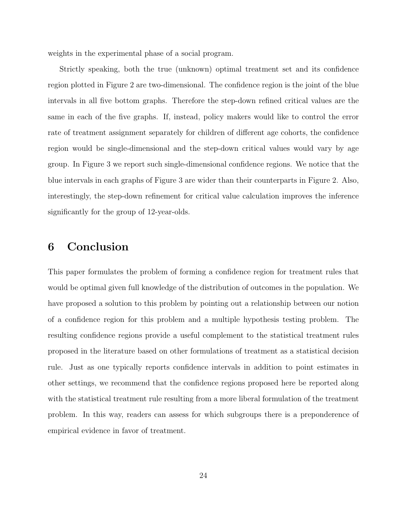weights in the experimental phase of a social program.

Strictly speaking, both the true (unknown) optimal treatment set and its confidence region plotted in Figure 2 are two-dimensional. The confidence region is the joint of the blue intervals in all five bottom graphs. Therefore the step-down refined critical values are the same in each of the five graphs. If, instead, policy makers would like to control the error rate of treatment assignment separately for children of different age cohorts, the confidence region would be single-dimensional and the step-down critical values would vary by age group. In Figure 3 we report such single-dimensional confidence regions. We notice that the blue intervals in each graphs of Figure 3 are wider than their counterparts in Figure 2. Also, interestingly, the step-down refinement for critical value calculation improves the inference significantly for the group of 12-year-olds.

## 6 Conclusion

This paper formulates the problem of forming a confidence region for treatment rules that would be optimal given full knowledge of the distribution of outcomes in the population. We have proposed a solution to this problem by pointing out a relationship between our notion of a confidence region for this problem and a multiple hypothesis testing problem. The resulting confidence regions provide a useful complement to the statistical treatment rules proposed in the literature based on other formulations of treatment as a statistical decision rule. Just as one typically reports confidence intervals in addition to point estimates in other settings, we recommend that the confidence regions proposed here be reported along with the statistical treatment rule resulting from a more liberal formulation of the treatment problem. In this way, readers can assess for which subgroups there is a preponderence of empirical evidence in favor of treatment.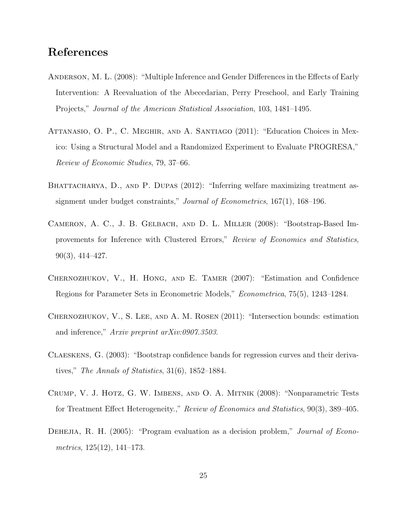# References

- Anderson, M. L. (2008): "Multiple Inference and Gender Differences in the Effects of Early Intervention: A Reevaluation of the Abecedarian, Perry Preschool, and Early Training Projects," Journal of the American Statistical Association, 103, 1481–1495.
- Attanasio, O. P., C. Meghir, and A. Santiago (2011): "Education Choices in Mexico: Using a Structural Model and a Randomized Experiment to Evaluate PROGRESA," Review of Economic Studies, 79, 37–66.
- BHATTACHARYA, D., AND P. DUPAS (2012): "Inferring welfare maximizing treatment assignment under budget constraints," Journal of Econometrics, 167(1), 168–196.
- Cameron, A. C., J. B. Gelbach, and D. L. Miller (2008): "Bootstrap-Based Improvements for Inference with Clustered Errors," Review of Economics and Statistics, 90(3), 414–427.
- Chernozhukov, V., H. Hong, and E. Tamer (2007): "Estimation and Confidence Regions for Parameter Sets in Econometric Models," Econometrica, 75(5), 1243–1284.
- Chernozhukov, V., S. Lee, and A. M. Rosen (2011): "Intersection bounds: estimation and inference," Arxiv preprint arXiv:0907.3503.
- Claeskens, G. (2003): "Bootstrap confidence bands for regression curves and their derivatives," The Annals of Statistics, 31(6), 1852–1884.
- Crump, V. J. Hotz, G. W. Imbens, and O. A. Mitnik (2008): "Nonparametric Tests for Treatment Effect Heterogeneity.," Review of Economics and Statistics, 90(3), 389–405.
- DEHEJIA, R. H. (2005): "Program evaluation as a decision problem," *Journal of Econo*metrics, 125(12), 141–173.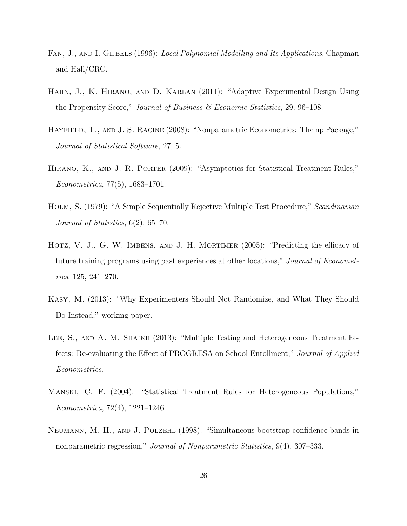- FAN, J., AND I. GIJBELS (1996): Local Polynomial Modelling and Its Applications. Chapman and Hall/CRC.
- Hahn, J., K. Hirano, and D. Karlan (2011): "Adaptive Experimental Design Using the Propensity Score," Journal of Business  $\mathscr B$  Economic Statistics, 29, 96–108.
- Hayfield, T., and J. S. Racine (2008): "Nonparametric Econometrics: The np Package," Journal of Statistical Software, 27, 5.
- HIRANO, K., AND J. R. PORTER (2009): "Asymptotics for Statistical Treatment Rules," Econometrica, 77(5), 1683–1701.
- HOLM, S. (1979): "A Simple Sequentially Rejective Multiple Test Procedure," Scandinavian Journal of Statistics, 6(2), 65–70.
- Hotz, V. J., G. W. Imbens, and J. H. Mortimer (2005): "Predicting the efficacy of future training programs using past experiences at other locations," Journal of Econometrics, 125, 241–270.
- Kasy, M. (2013): "Why Experimenters Should Not Randomize, and What They Should Do Instead," working paper.
- LEE, S., AND A. M. SHAIKH (2013): "Multiple Testing and Heterogeneous Treatment Effects: Re-evaluating the Effect of PROGRESA on School Enrollment," Journal of Applied Econometrics.
- Manski, C. F. (2004): "Statistical Treatment Rules for Heterogeneous Populations," Econometrica, 72(4), 1221–1246.
- Neumann, M. H., and J. Polzehl (1998): "Simultaneous bootstrap confidence bands in nonparametric regression," Journal of Nonparametric Statistics, 9(4), 307–333.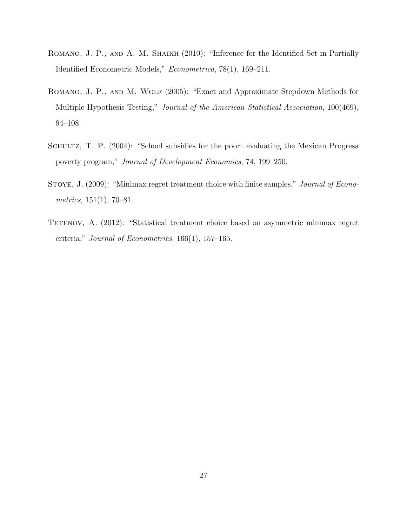- ROMANO, J. P., AND A. M. SHAIKH (2010): "Inference for the Identified Set in Partially Identified Econometric Models," Econometrica, 78(1), 169–211.
- Romano, J. P., and M. Wolf (2005): "Exact and Approximate Stepdown Methods for Multiple Hypothesis Testing," *Journal of the American Statistical Association*, 100(469), 94–108.
- SCHULTZ, T. P. (2004): "School subsidies for the poor: evaluating the Mexican Progresa poverty program," Journal of Development Economics, 74, 199–250.
- STOYE, J. (2009): "Minimax regret treatment choice with finite samples," *Journal of Econo*metrics,  $151(1)$ , 70–81.
- TETENOV, A. (2012): "Statistical treatment choice based on asymmetric minimax regret criteria," Journal of Econometrics,  $166(1)$ ,  $157-165$ .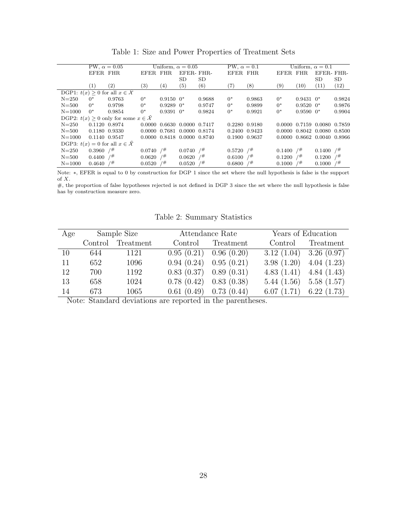|  |  |  |  |  |  | Table 1: Size and Power Properties of Treatment Sets |  |
|--|--|--|--|--|--|------------------------------------------------------|--|
|--|--|--|--|--|--|------------------------------------------------------|--|

|                                                       |                         | PW, $\alpha = 0.05$                             |                         |                | Uniform, $\alpha = 0.05$    |           | PW, $\alpha = 0.1$ |        |                         |               | Uniform, $\alpha = 0.1$     |        |
|-------------------------------------------------------|-------------------------|-------------------------------------------------|-------------------------|----------------|-----------------------------|-----------|--------------------|--------|-------------------------|---------------|-----------------------------|--------|
|                                                       | EFER FHR                |                                                 | EFER FHR                |                | EFER-FHR-                   |           | EFER FHR           |        | EFER FHR                |               | EFER-FHR-                   |        |
|                                                       |                         |                                                 |                         |                | <b>SD</b>                   | <b>SD</b> |                    |        |                         |               | SD                          | SD     |
|                                                       | $\left(1\right)$        | (2)                                             | $\left( 3\right)$       | (4)            | $\left( 5\right)$           | (6)       | $\left( 7\right)$  | (8)    | (9)                     | (10)          | (11)                        | (12)   |
|                                                       |                         | DGP1: $t(x) \geq 0$ for all $x \in \mathcal{X}$ |                         |                |                             |           |                    |        |                         |               |                             |        |
| $N = 250$                                             | $0^*$                   | 0.9763                                          | $0^*$                   | $0.9150$ $0^*$ |                             | 0.9688    | $0^*$              | 0.9863 | $0^*$                   | $0.9431$ $0*$ |                             | 0.9824 |
| $N = 500$                                             | $0^*$                   | 0.9798                                          | $0^*$                   | $0.9289$ $0*$  |                             | 0.9747    | $0^*$              | 0.9899 | $0^*$                   | $0.9520~0*$   |                             | 0.9876 |
| $N = 1000$                                            | $0^*$                   | 0.9854                                          | $0^*$                   | $0.9391$ $0^*$ |                             | 0.9824    | $0^*$              | 0.9921 | $0^*$                   | $0.9590~0*$   |                             | 0.9904 |
| DGP2: $t(x) \geq 0$ only for some $x \in \mathcal{X}$ |                         |                                                 |                         |                |                             |           |                    |        |                         |               |                             |        |
| $N = 250$                                             |                         | 0.1120 0.8974                                   | 0.0000                  |                | 0.6630 0.0000 0.7417        |           | 0.2280 0.9180      |        |                         |               | 0.0000 0.7159 0.0080 0.7859 |        |
| $N = 500$                                             |                         | 0.1180 0.9330                                   |                         |                | 0.0000 0.7681 0.0000 0.8174 |           | 0.2400 0.9423      |        |                         |               | 0.0000 0.8042 0.0080 0.8500 |        |
| $N = 1000$                                            |                         | 0.1140 0.9547                                   |                         |                | 0.0000 0.8418 0.0000 0.8740 |           | 0.1900 0.9637      |        |                         |               | 0.0000 0.8662 0.0040 0.8966 |        |
|                                                       |                         | DGP3: $t(x) = 0$ for all $x \in \mathcal{X}$    |                         |                |                             |           |                    |        |                         |               |                             |        |
| $N = 250$                                             | $0.3960$ / <sup>#</sup> |                                                 | $0.0740$ / <sup>#</sup> |                | $0.0740$ / <sup>#</sup>     |           | 0.5720             | $/$ #  | $0.1400$ / <sup>#</sup> |               | 0.1400                      | $/$ #  |
| $N = 500$                                             | $0.4400$ / <sup>#</sup> |                                                 | $0.0620$ / <sup>#</sup> |                | $0.0620$ / <sup>#</sup>     |           | 0.6100             | /#     | $0.1200$ / <sup>#</sup> |               | 0.1200                      | 7#     |
| $N = 1000$                                            | 0.4640                  | 7#                                              | 0.0520                  | 7#             | 0.0520                      | 7#        | 0.6800             | /#     | 0.1000                  | 7#            | 0.1000                      | /#     |
|                                                       |                         |                                                 |                         |                |                             |           |                    |        |                         |               |                             |        |

Note: ∗, EFER is equal to 0 by construction for DGP 1 since the set where the null hypothesis is false is the support of  $\boldsymbol{X}.$ 

#, the proportion of false hypotheses rejected is not defined in DGP 3 since the set where the null hypothesis is false has by construction measure zero.

| Age | Sample Size |                   |                            | Attendance Rate   | Years of Education          |                           |  |
|-----|-------------|-------------------|----------------------------|-------------------|-----------------------------|---------------------------|--|
|     |             | Control Treatment |                            | Control Treatment |                             | Control Treatment         |  |
| -10 | 644         | 1121              | $0.95(0.21)$ 0.96 $(0.20)$ |                   | $3.12(1.04)$ $3.26(0.97)$   |                           |  |
| 11  | 652         | 1096              | $0.94(0.24)$ $0.95(0.21)$  |                   | $3.98(1.20)$ 4.04 (1.23)    |                           |  |
| 12  | 700         | 1192              | $0.83(0.37)$ 0.89 $(0.31)$ |                   | 4.83 $(1.41)$ 4.84 $(1.43)$ |                           |  |
| 13  | 658         | 1024              | $0.78(0.42)$ 0.83 $(0.38)$ |                   |                             | $5.44(1.56)$ $5.58(1.57)$ |  |
| -14 | 673         | 1065              | $0.61(0.49)$ 0.73 $(0.44)$ |                   |                             | $6.07(1.71)$ $6.22(1.73)$ |  |

Table 2: Summary Statistics

Note: Standard deviations are reported in the parentheses.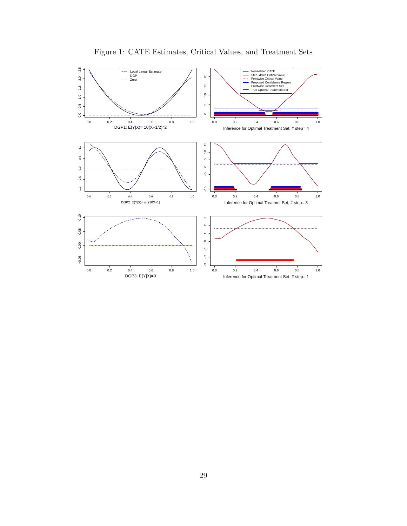

Figure 1: CATE Estimates, Critical Values, and Treatment Sets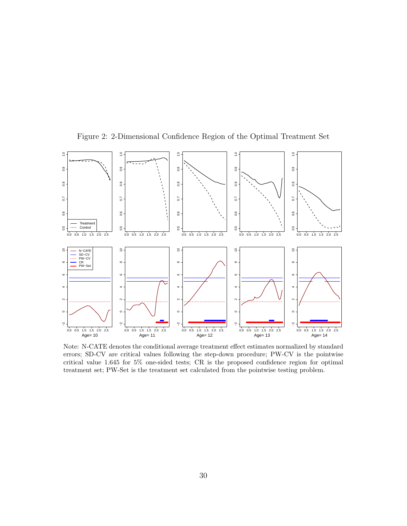

Figure 2: 2-Dimensional Confidence Region of the Optimal Treatment Set

Note: N-CATE denotes the conditional average treatment effect estimates normalized by standard errors; SD-CV are critical values following the step-down procedure; PW-CV is the pointwise critical value 1.645 for 5% one-sided tests; CR is the proposed confidence region for optimal treatment set; PW-Set is the treatment set calculated from the pointwise testing problem.